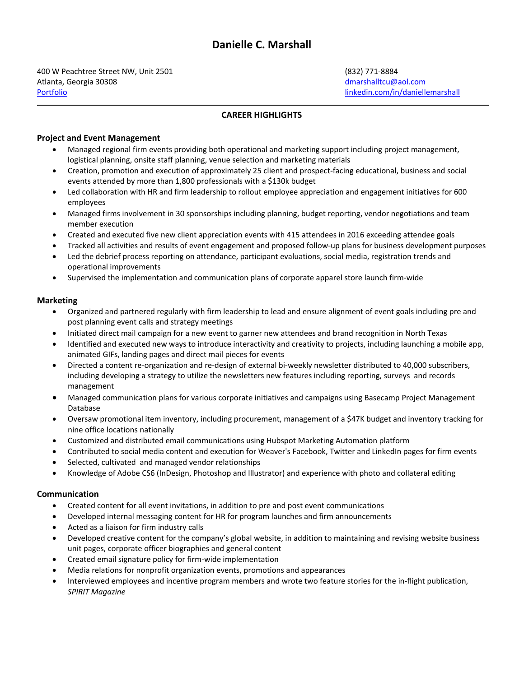400 W Peachtree Street NW, Unit 2501 (832) 771-8884 Atlanta, Georgia 30308 [dmarshalltcu@aol.com](mailto:dmarshalltcu@aol.com) [Portfolio](http://www.meetdaniellem.com/) [linkedin.com/in/daniellemarshall](http://www.linkedin.com/in/daniellemarshall)

## **CAREER HIGHLIGHTS**

## **Project and Event Management**

- Managed regional firm events providing both operational and marketing support including project management, logistical planning, onsite staff planning, venue selection and marketing materials
- Creation, promotion and execution of approximately 25 client and prospect-facing educational, business and social events attended by more than 1,800 professionals with a \$130k budget
- Led collaboration with HR and firm leadership to rollout employee appreciation and engagement initiatives for 600 employees
- Managed firms involvement in 30 sponsorships including planning, budget reporting, vendor negotiations and team member execution
- Created and executed five new client appreciation events with 415 attendees in 2016 exceeding attendee goals
- Tracked all activities and results of event engagement and proposed follow-up plans for business development purposes
- Led the debrief process reporting on attendance, participant evaluations, social media, registration trends and operational improvements
- Supervised the implementation and communication plans of corporate apparel store launch firm-wide

## **Marketing**

- Organized and partnered regularly with firm leadership to lead and ensure alignment of event goals including pre and post planning event calls and strategy meetings
- Initiated direct mail campaign for a new event to garner new attendees and brand recognition in North Texas
- Identified and executed new ways to introduce interactivity and creativity to projects, including launching a mobile app, animated GIFs, landing pages and direct mail pieces for events
- Directed a content re-organization and re-design of external bi-weekly newsletter distributed to 40,000 subscribers, including developing a strategy to utilize the newsletters new features including reporting, surveys and records management
- Managed communication plans for various corporate initiatives and campaigns using Basecamp Project Management Database
- Oversaw promotional item inventory, including procurement, management of a \$47K budget and inventory tracking for nine office locations nationally
- Customized and distributed email communications using Hubspot Marketing Automation platform
- Contributed to social media content and execution for Weaver's Facebook, Twitter and LinkedIn pages for firm events
- Selected, cultivated and managed vendor relationships
- Knowledge of Adobe CS6 (InDesign, Photoshop and Illustrator) and experience with photo and collateral editing

## **Communication**

- Created content for all event invitations, in addition to pre and post event communications
- Developed internal messaging content for HR for program launches and firm announcements
- Acted as a liaison for firm industry calls
- Developed creative content for the company's global website, in addition to maintaining and revising website business unit pages, corporate officer biographies and general content
- Created email signature policy for firm-wide implementation
- Media relations for nonprofit organization events, promotions and appearances
- Interviewed employees and incentive program members and wrote two feature stories for the in-flight publication, *SPIRIT Magazine*